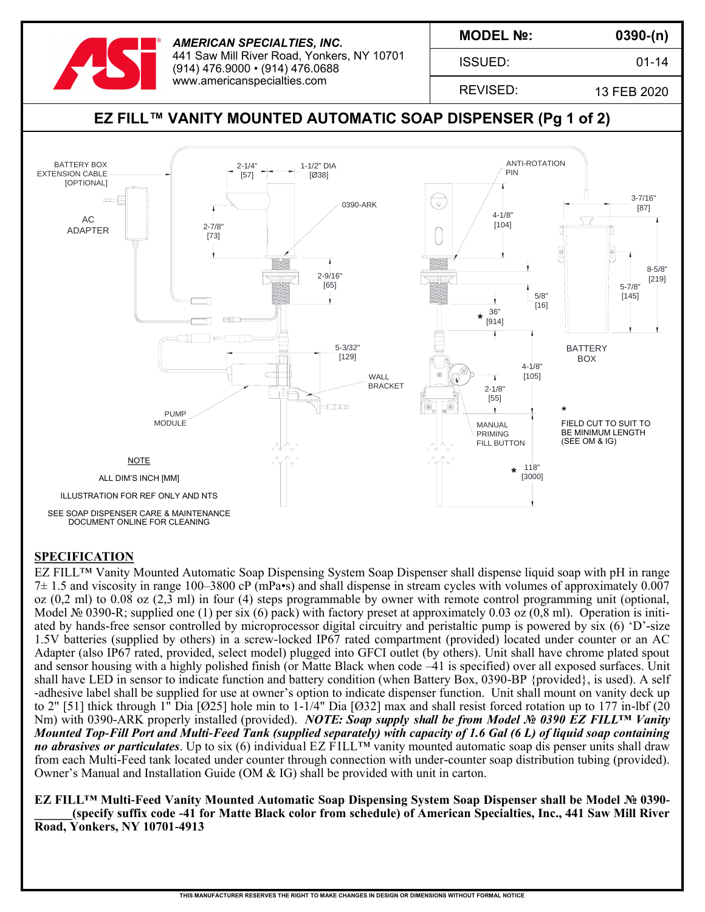

*AMERICAN SPECIALTIES, INC.* 441 Saw Mill River Road, Yonkers, NY 10701 (914) 476.9000 • (914) 476.0688 www.americanspecialties.com

**MODEL №:**

ISSUED:

**0390-(n)**

01-14

REVISED:

13 FEB 2020

# **EZ FILL™ VANITY MOUNTED AUTOMATIC SOAP DISPENSER (Pg 1 of 2)**



### **SPECIFICATION**

EZ FILL™ Vanity Mounted Automatic Soap Dispensing System Soap Dispenser shall dispense liquid soap with pH in range 7± 1.5 and viscosity in range 100–3800 cP (mPa•s) and shall dispense in stream cycles with volumes of approximately 0.007 oz (0,2 ml) to 0.08 oz (2,3 ml) in four (4) steps programmable by owner with remote control programming unit (optional, Model № 0390-R; supplied one (1) per six (6) pack) with factory preset at approximately 0.03 oz (0,8 ml). Operation is initiated by hands-free sensor controlled by microprocessor digital circuitry and peristaltic pump is powered by six (6) 'D'-size 1.5V batteries (supplied by others) in a screw-locked IP67 rated compartment (provided) located under counter or an AC Adapter (also IP67 rated, provided, select model) plugged into GFCI outlet (by others). Unit shall have chrome plated spout and sensor housing with a highly polished finish (or Matte Black when code –41 is specified) over all exposed surfaces. Unit shall have LED in sensor to indicate function and battery condition (when Battery Box, 0390-BP {provided}, is used). A self -adhesive label shall be supplied for use at owner's option to indicate dispenser function. Unit shall mount on vanity deck up to 2" [51] thick through 1" Dia  $[Ø25]$  hole min to 1-1/4" Dia  $[Ø32]$  max and shall resist forced rotation up to 177 in-lbf (20 Nm) with 0390-ARK properly installed (provided). *NOTE: Soap supply shall be from Model № 0390 EZ FILL™ Vanity Mounted Top-Fill Port and Multi-Feed Tank (supplied separately) with capacity of 1.6 Gal (6 L) of liquid soap containing no abrasives or particulates*. Up to six (6) individual EZ FILL™ vanity mounted automatic soap dis penser units shall draw from each Multi-Feed tank located under counter through connection with under-counter soap distribution tubing (provided). Owner's Manual and Installation Guide (OM & IG) shall be provided with unit in carton.

**EZ FILL™ Multi-Feed Vanity Mounted Automatic Soap Dispensing System Soap Dispenser shall be Model № 0390- \_\_\_\_\_\_(specify suffix code -41 for Matte Black color from schedule) of American Specialties, Inc., 441 Saw Mill River Road, Yonkers, NY 10701-4913**